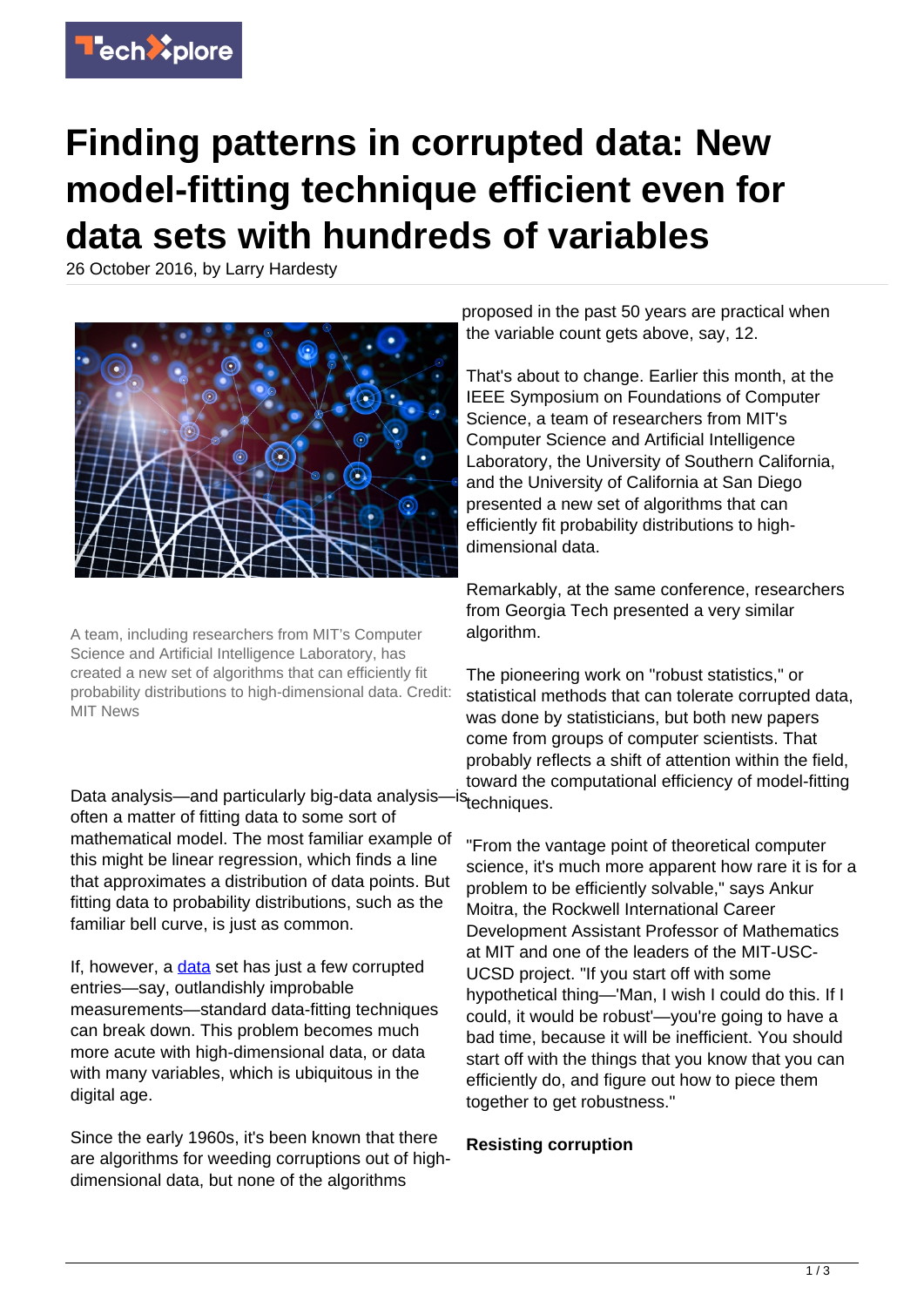

## **Finding patterns in corrupted data: New model-fitting technique efficient even for data sets with hundreds of variables**

26 October 2016, by Larry Hardesty



A team, including researchers from MIT's Computer Science and Artificial Intelligence Laboratory, has created a new set of algorithms that can efficiently fit probability distributions to high-dimensional data. Credit: MIT News

Data analysis—and particularly big-data analysisoften a matter of fitting data to some sort of mathematical model. The most familiar example of this might be linear regression, which finds a line that approximates a distribution of data points. But fitting data to probability distributions, such as the familiar bell curve, is just as common.

If, however, a [data](https://techxplore.com/tags/data/) set has just a few corrupted entries—say, outlandishly improbable measurements—standard data-fitting techniques can break down. This problem becomes much more acute with high-dimensional data, or data with many variables, which is ubiquitous in the digital age.

Since the early 1960s, it's been known that there are algorithms for weeding corruptions out of highdimensional data, but none of the algorithms

proposed in the past 50 years are practical when the variable count gets above, say, 12.

That's about to change. Earlier this month, at the IEEE Symposium on Foundations of Computer Science, a team of researchers from MIT's Computer Science and Artificial Intelligence Laboratory, the University of Southern California, and the University of California at San Diego presented a new set of algorithms that can efficiently fit probability distributions to highdimensional data.

Remarkably, at the same conference, researchers from Georgia Tech presented a very similar algorithm.

The pioneering work on "robust statistics," or statistical methods that can tolerate corrupted data, was done by statisticians, but both new papers come from groups of computer scientists. That probably reflects a shift of attention within the field, toward the computational efficiency of model-fitting <sup>IS</sup>techniques.

"From the vantage point of theoretical computer science, it's much more apparent how rare it is for a problem to be efficiently solvable," says Ankur Moitra, the Rockwell International Career Development Assistant Professor of Mathematics at MIT and one of the leaders of the MIT-USC-UCSD project. "If you start off with some hypothetical thing—'Man, I wish I could do this. If I could, it would be robust'—you're going to have a bad time, because it will be inefficient. You should start off with the things that you know that you can efficiently do, and figure out how to piece them together to get robustness."

## **Resisting corruption**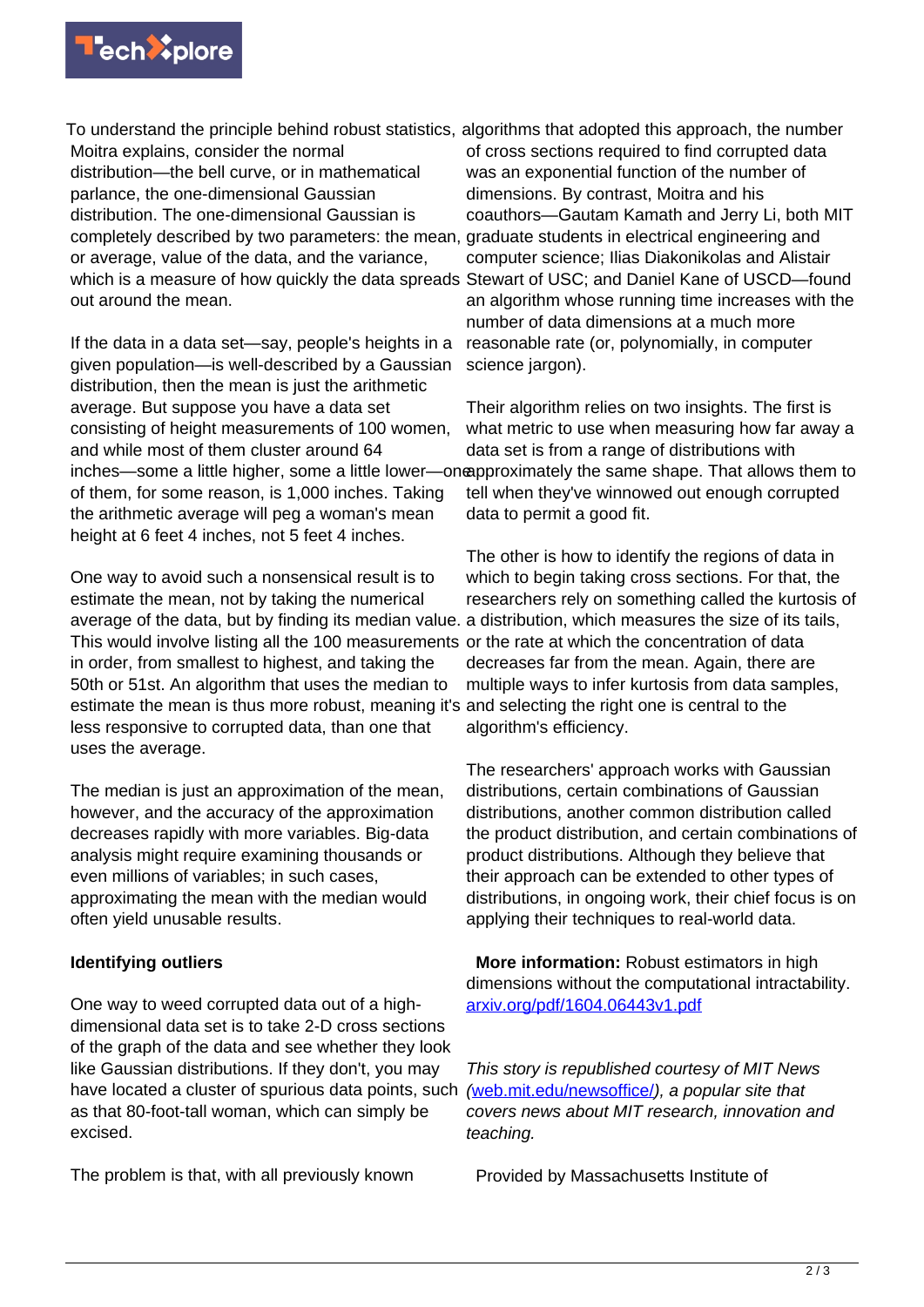

To understand the principle behind robust statistics, algorithms that adopted this approach, the number Moitra explains, consider the normal distribution—the bell curve, or in mathematical parlance, the one-dimensional Gaussian distribution. The one-dimensional Gaussian is completely described by two parameters: the mean, graduate students in electrical engineering and or average, value of the data, and the variance, which is a measure of how quickly the data spreads out around the mean.

If the data in a data set—say, people's heights in a given population—is well-described by a Gaussian distribution, then the mean is just the arithmetic average. But suppose you have a data set consisting of height measurements of 100 women, and while most of them cluster around 64 inches—some a little higher, some a little lower—oneapproximately the same shape. That allows them to of them, for some reason, is 1,000 inches. Taking the arithmetic average will peg a woman's mean height at 6 feet 4 inches, not 5 feet 4 inches.

One way to avoid such a nonsensical result is to estimate the mean, not by taking the numerical average of the data, but by finding its median value. a distribution, which measures the size of its tails, This would involve listing all the 100 measurements or the rate at which the concentration of data in order, from smallest to highest, and taking the 50th or 51st. An algorithm that uses the median to estimate the mean is thus more robust, meaning it's and selecting the right one is central to the less responsive to corrupted data, than one that uses the average.

The median is just an approximation of the mean, however, and the accuracy of the approximation decreases rapidly with more variables. Big-data analysis might require examining thousands or even millions of variables; in such cases, approximating the mean with the median would often yield unusable results.

## **Identifying outliers**

One way to weed corrupted data out of a highdimensional data set is to take 2-D cross sections of the graph of the data and see whether they look like Gaussian distributions. If they don't, you may have located a cluster of spurious data points, such as that 80-foot-tall woman, which can simply be excised.

The problem is that, with all previously known

of cross sections required to find corrupted data was an exponential function of the number of dimensions. By contrast, Moitra and his coauthors—Gautam Kamath and Jerry Li, both MIT computer science; Ilias Diakonikolas and Alistair Stewart of USC; and Daniel Kane of USCD—found an algorithm whose running time increases with the number of data dimensions at a much more reasonable rate (or, polynomially, in computer science jargon).

Their algorithm relies on two insights. The first is what metric to use when measuring how far away a data set is from a range of distributions with tell when they've winnowed out enough corrupted data to permit a good fit.

The other is how to identify the regions of data in which to begin taking cross sections. For that, the researchers rely on something called the kurtosis of decreases far from the mean. Again, there are multiple ways to infer kurtosis from data samples, algorithm's efficiency.

The researchers' approach works with Gaussian distributions, certain combinations of Gaussian distributions, another common distribution called the product distribution, and certain combinations of product distributions. Although they believe that their approach can be extended to other types of distributions, in ongoing work, their chief focus is on applying their techniques to real-world data.

 **More information:** Robust estimators in high dimensions without the computational intractability. [arxiv.org/pdf/1604.06443v1.pdf](https://arxiv.org/pdf/1604.06443v1.pdf)

This story is republished courtesy of MIT News ([web.mit.edu/newsoffice/](http://web.mit.edu/newsoffice/)), a popular site that covers news about MIT research, innovation and teaching.

Provided by Massachusetts Institute of